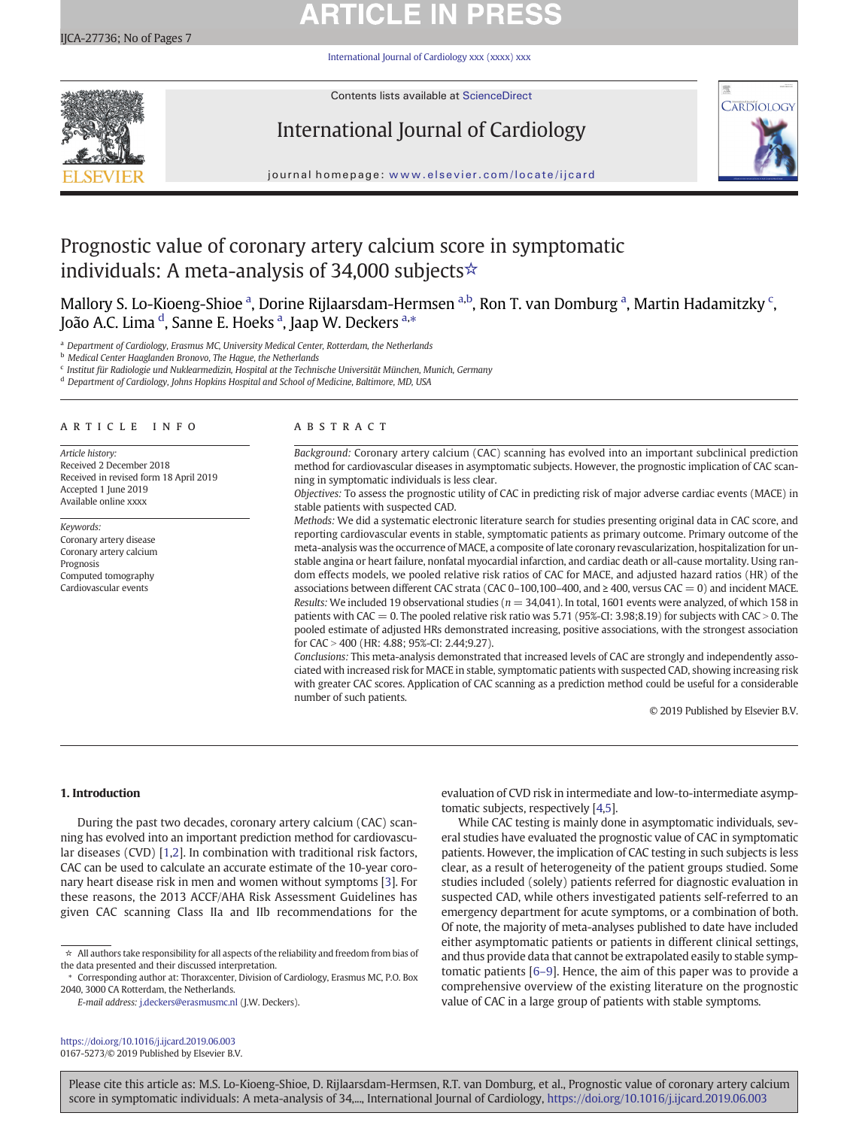# **ARTICLE IN PRESS**

[International Journal of Cardiology xxx \(xxxx\) xxx](https://doi.org/10.1016/j.ijcard.2019.06.003)



Contents lists available at [ScienceDirect](http://www.sciencedirect.com/science/journal/)

## International Journal of Cardiology



journal homepage: <www.elsevier.com/locate/ijcard>

## Prognostic value of coronary artery calcium score in symptomatic individuals: A meta-analysis of 34,000 subjects☆

Mallory S. Lo-Kioeng-Shioe <sup>a</sup>, Dorine Rijlaarsdam-Hermsen <sup>a,b</sup>, Ron T. van Domburg <sup>a</sup>, Martin Hadamitzky <sup>c</sup>, João A.C. Lima <sup>d</sup>, Sanne E. Hoeks <sup>a</sup>, Jaap W. Deckers <sup>a,</sup>\*

a Department of Cardiology, Erasmus MC, University Medical Center, Rotterdam, the Netherlands

**b** Medical Center Haaglanden Bronovo, The Hague, the Netherlands

<sup>c</sup> Institut für Radiologie und Nuklearmedizin, Hospital at the Technische Universität München, Munich, Germany

<sup>d</sup> Department of Cardiology, Johns Hopkins Hospital and School of Medicine, Baltimore, MD, USA

#### article info abstract

Article history: Received 2 December 2018 Received in revised form 18 April 2019 Accepted 1 June 2019 Available online xxxx

Keywords: Coronary artery disease Coronary artery calcium Prognosis Computed tomography Cardiovascular events

Background: Coronary artery calcium (CAC) scanning has evolved into an important subclinical prediction method for cardiovascular diseases in asymptomatic subjects. However, the prognostic implication of CAC scanning in symptomatic individuals is less clear.

Objectives: To assess the prognostic utility of CAC in predicting risk of major adverse cardiac events (MACE) in stable patients with suspected CAD.

Methods: We did a systematic electronic literature search for studies presenting original data in CAC score, and reporting cardiovascular events in stable, symptomatic patients as primary outcome. Primary outcome of the meta-analysis was the occurrence of MACE, a composite of late coronary revascularization, hospitalization for unstable angina or heart failure, nonfatal myocardial infarction, and cardiac death or all-cause mortality. Using random effects models, we pooled relative risk ratios of CAC for MACE, and adjusted hazard ratios (HR) of the associations between different CAC strata (CAC 0–100,100–400, and ≥ 400, versus CAC = 0) and incident MACE. Results: We included 19 observational studies ( $n = 34,041$ ). In total, 1601 events were analyzed, of which 158 in patients with CAC = 0. The pooled relative risk ratio was 5.71 (95%-CI: 3.98;8.19) for subjects with CAC > 0. The pooled estimate of adjusted HRs demonstrated increasing, positive associations, with the strongest association for CAC > 400 (HR: 4.88; 95%-CI: 2.44;9.27).

Conclusions: This meta-analysis demonstrated that increased levels of CAC are strongly and independently associated with increased risk for MACE in stable, symptomatic patients with suspected CAD, showing increasing risk with greater CAC scores. Application of CAC scanning as a prediction method could be useful for a considerable number of such patients.

© 2019 Published by Elsevier B.V.

### 1. Introduction

During the past two decades, coronary artery calcium (CAC) scanning has evolved into an important prediction method for cardiovascular diseases (CVD) [[1,2\]](#page-5-0). In combination with traditional risk factors, CAC can be used to calculate an accurate estimate of the 10-year coronary heart disease risk in men and women without symptoms [[3](#page-5-0)]. For these reasons, the 2013 ACCF/AHA Risk Assessment Guidelines has given CAC scanning Class IIa and IIb recommendations for the

 $\star~$  All authors take responsibility for all aspects of the reliability and freedom from bias of the data presented and their discussed interpretation.

E-mail address: <j.deckers@erasmusmc.nl> (J.W. Deckers).

<https://doi.org/10.1016/j.ijcard.2019.06.003> 0167-5273/© 2019 Published by Elsevier B.V. evaluation of CVD risk in intermediate and low-to-intermediate asymptomatic subjects, respectively [\[4,](#page-5-0)[5](#page-6-0)].

While CAC testing is mainly done in asymptomatic individuals, several studies have evaluated the prognostic value of CAC in symptomatic patients. However, the implication of CAC testing in such subjects is less clear, as a result of heterogeneity of the patient groups studied. Some studies included (solely) patients referred for diagnostic evaluation in suspected CAD, while others investigated patients self-referred to an emergency department for acute symptoms, or a combination of both. Of note, the majority of meta-analyses published to date have included either asymptomatic patients or patients in different clinical settings, and thus provide data that cannot be extrapolated easily to stable symptomatic patients [6–[9\]](#page-6-0). Hence, the aim of this paper was to provide a comprehensive overview of the existing literature on the prognostic value of CAC in a large group of patients with stable symptoms.

Please cite this article as: M.S. Lo-Kioeng-Shioe, D. Rijlaarsdam-Hermsen, R.T. van Domburg, et al., Prognostic value of coronary artery calcium score in symptomatic individuals: A meta-analysis of 34,..., International Journal of Cardiology, <https://doi.org/10.1016/j.ijcard.2019.06.003>

<sup>⁎</sup> Corresponding author at: Thoraxcenter, Division of Cardiology, Erasmus MC, P.O. Box 2040, 3000 CA Rotterdam, the Netherlands.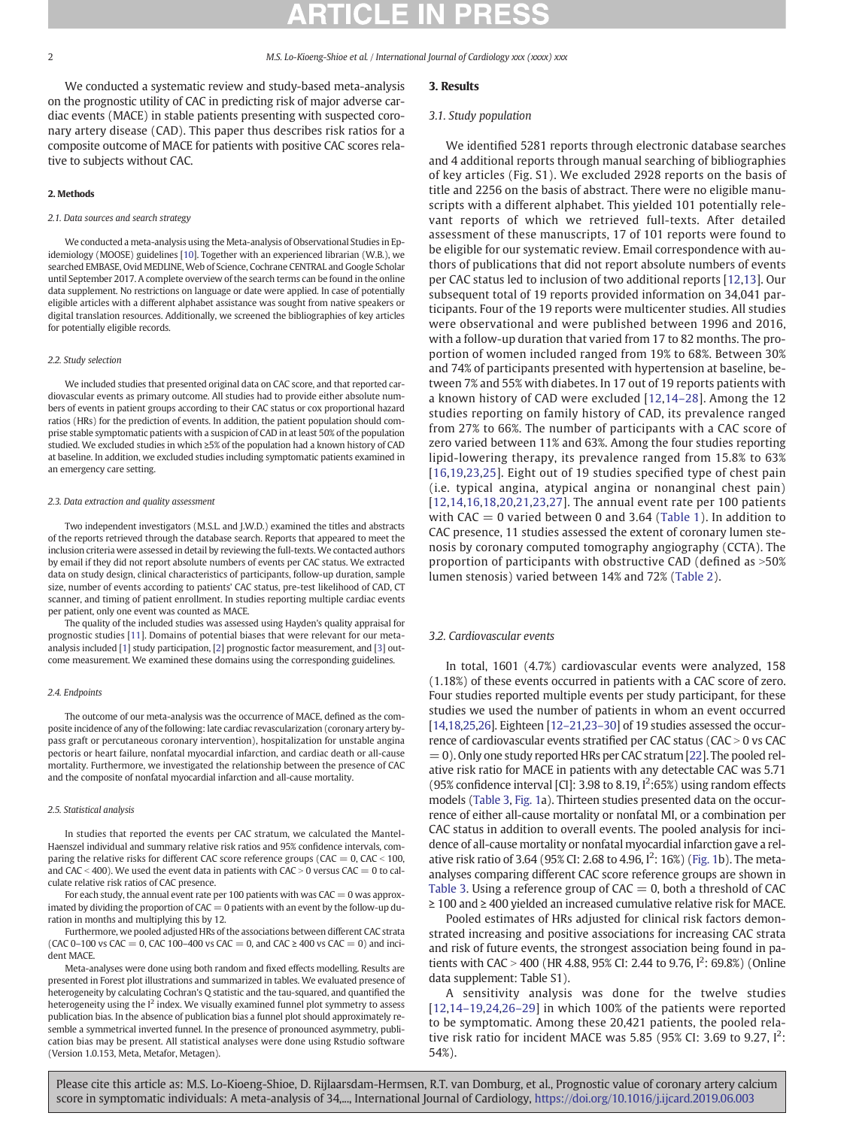We conducted a systematic review and study-based meta-analysis on the prognostic utility of CAC in predicting risk of major adverse cardiac events (MACE) in stable patients presenting with suspected coronary artery disease (CAD). This paper thus describes risk ratios for a composite outcome of MACE for patients with positive CAC scores relative to subjects without CAC.

#### 2. Methods

#### 2.1. Data sources and search strategy

We conducted a meta-analysis using the Meta-analysis of Observational Studies in Epidemiology (MOOSE) guidelines [\[10](#page-6-0)]. Together with an experienced librarian (W.B.), we searched EMBASE, Ovid MEDLINE, Web of Science, Cochrane CENTRAL and Google Scholar until September 2017. A complete overview of the search terms can be found in the online data supplement. No restrictions on language or date were applied. In case of potentially eligible articles with a different alphabet assistance was sought from native speakers or digital translation resources. Additionally, we screened the bibliographies of key articles for potentially eligible records.

#### 2.2. Study selection

We included studies that presented original data on CAC score, and that reported cardiovascular events as primary outcome. All studies had to provide either absolute numbers of events in patient groups according to their CAC status or cox proportional hazard ratios (HRs) for the prediction of events. In addition, the patient population should comprise stable symptomatic patients with a suspicion of CAD in at least 50% of the population studied. We excluded studies in which ≥5% of the population had a known history of CAD at baseline. In addition, we excluded studies including symptomatic patients examined in an emergency care setting.

#### 2.3. Data extraction and quality assessment

Two independent investigators (M.S.L. and J.W.D.) examined the titles and abstracts of the reports retrieved through the database search. Reports that appeared to meet the inclusion criteria were assessed in detail by reviewing the full-texts. We contacted authors by email if they did not report absolute numbers of events per CAC status. We extracted data on study design, clinical characteristics of participants, follow-up duration, sample size, number of events according to patients' CAC status, pre-test likelihood of CAD, CT scanner, and timing of patient enrollment. In studies reporting multiple cardiac events per patient, only one event was counted as MACE.

The quality of the included studies was assessed using Hayden's quality appraisal for prognostic studies [[11](#page-6-0)]. Domains of potential biases that were relevant for our metaanalysis included [\[1\]](#page-5-0) study participation, [\[2\]](#page-5-0) prognostic factor measurement, and [\[3\]](#page-5-0) outcome measurement. We examined these domains using the corresponding guidelines.

#### 2.4. Endpoints

The outcome of our meta-analysis was the occurrence of MACE, defined as the composite incidence of any of the following: late cardiac revascularization (coronary artery bypass graft or percutaneous coronary intervention), hospitalization for unstable angina pectoris or heart failure, nonfatal myocardial infarction, and cardiac death or all-cause mortality. Furthermore, we investigated the relationship between the presence of CAC and the composite of nonfatal myocardial infarction and all-cause mortality.

#### 2.5. Statistical analysis

In studies that reported the events per CAC stratum, we calculated the Mantel-Haenszel individual and summary relative risk ratios and 95% confidence intervals, comparing the relative risks for different CAC score reference groups (CAC =  $0,$  CAC < 100, and CAC < 400). We used the event data in patients with CAC > 0 versus CAC = 0 to calculate relative risk ratios of CAC presence.

For each study, the annual event rate per 100 patients with was CAC = 0 was approximated by dividing the proportion of  $CAC = 0$  patients with an event by the follow-up duration in months and multiplying this by 12.

Furthermore, we pooled adjusted HRs of the associations between different CAC strata (CAC 0–100 vs CAC = 0, CAC 100–400 vs CAC = 0, and CAC  $\geq$  400 vs CAC = 0) and incident MACE.

Meta-analyses were done using both random and fixed effects modelling. Results are presented in Forest plot illustrations and summarized in tables. We evaluated presence of heterogeneity by calculating Cochran's Q statistic and the tau-squared, and quantified the heterogeneity using the  $I^2$  index. We visually examined funnel plot symmetry to assess publication bias. In the absence of publication bias a funnel plot should approximately resemble a symmetrical inverted funnel. In the presence of pronounced asymmetry, publication bias may be present. All statistical analyses were done using Rstudio software (Version 1.0.153, Meta, Metafor, Metagen).

### 3. Results

#### 3.1. Study population

We identified 5281 reports through electronic database searches and 4 additional reports through manual searching of bibliographies of key articles (Fig. S1). We excluded 2928 reports on the basis of title and 2256 on the basis of abstract. There were no eligible manuscripts with a different alphabet. This yielded 101 potentially relevant reports of which we retrieved full-texts. After detailed assessment of these manuscripts, 17 of 101 reports were found to be eligible for our systematic review. Email correspondence with authors of publications that did not report absolute numbers of events per CAC status led to inclusion of two additional reports [[12](#page-6-0),[13](#page-6-0)]. Our subsequent total of 19 reports provided information on 34,041 participants. Four of the 19 reports were multicenter studies. All studies were observational and were published between 1996 and 2016, with a follow-up duration that varied from 17 to 82 months. The proportion of women included ranged from 19% to 68%. Between 30% and 74% of participants presented with hypertension at baseline, between 7% and 55% with diabetes. In 17 out of 19 reports patients with a known history of CAD were excluded [[12,](#page-6-0)14–[28\]](#page-6-0). Among the 12 studies reporting on family history of CAD, its prevalence ranged from 27% to 66%. The number of participants with a CAC score of zero varied between 11% and 63%. Among the four studies reporting lipid-lowering therapy, its prevalence ranged from 15.8% to 63% [[16,19](#page-6-0),[23,25](#page-6-0)]. Eight out of 19 studies specified type of chest pain (i.e. typical angina, atypical angina or nonanginal chest pain) [[12,14](#page-6-0),[16,18,20](#page-6-0),[21,23,27](#page-6-0)]. The annual event rate per 100 patients with CAC  $= 0$  varied between 0 and 3.64 ([Table 1\)](#page-2-0). In addition to CAC presence, 11 studies assessed the extent of coronary lumen stenosis by coronary computed tomography angiography (CCTA). The proportion of participants with obstructive CAD (defined as  $>50\%$ lumen stenosis) varied between 14% and 72% [\(Table 2\)](#page-3-0).

#### 3.2. Cardiovascular events

In total, 1601 (4.7%) cardiovascular events were analyzed, 158 (1.18%) of these events occurred in patients with a CAC score of zero. Four studies reported multiple events per study participant, for these studies we used the number of patients in whom an event occurred [\[14,18,25,26](#page-6-0)]. Eighteen [12–[21,](#page-6-0)23–[30\]](#page-6-0) of 19 studies assessed the occurrence of cardiovascular events stratified per CAC status ( $CAC > 0$  vs CAC  $= 0$ ). Only one study reported HRs per CAC stratum [\[22\]](#page-6-0). The pooled relative risk ratio for MACE in patients with any detectable CAC was 5.71 (95% confidence interval [CI]: 3.98 to 8.19,  $I^2$ :65%) using random effects models [\(Table 3](#page-3-0), [Fig. 1a](#page-4-0)). Thirteen studies presented data on the occurrence of either all-cause mortality or nonfatal MI, or a combination per CAC status in addition to overall events. The pooled analysis for incidence of all-cause mortality or nonfatal myocardial infarction gave a relative risk ratio of 3.64 (95% CI: 2.68 to 4.96,  $I^2$ : 16%) [\(Fig. 1](#page-4-0)b). The metaanalyses comparing different CAC score reference groups are shown in [Table 3.](#page-3-0) Using a reference group of  $CAC = 0$ , both a threshold of  $CAC$ ≥ 100 and ≥ 400 yielded an increased cumulative relative risk for MACE.

Pooled estimates of HRs adjusted for clinical risk factors demonstrated increasing and positive associations for increasing CAC strata and risk of future events, the strongest association being found in patients with CAC > 400 (HR 4.88, 95% CI: 2.44 to 9.76,  $I^2$ : 69.8%) (Online data supplement: Table S1).

A sensitivity analysis was done for the twelve studies [[12](#page-6-0),14-[19,24](#page-6-0),26-[29\]](#page-6-0) in which 100% of the patients were reported to be symptomatic. Among these 20,421 patients, the pooled relative risk ratio for incident MACE was 5.85 (95% CI: 3.69 to 9.27,  $I^2$ : 54%).

Please cite this article as: M.S. Lo-Kioeng-Shioe, D. Rijlaarsdam-Hermsen, R.T. van Domburg, et al., Prognostic value of coronary artery calcium score in symptomatic individuals: A meta-analysis of 34,..., International Journal of Cardiology, <https://doi.org/10.1016/j.ijcard.2019.06.003>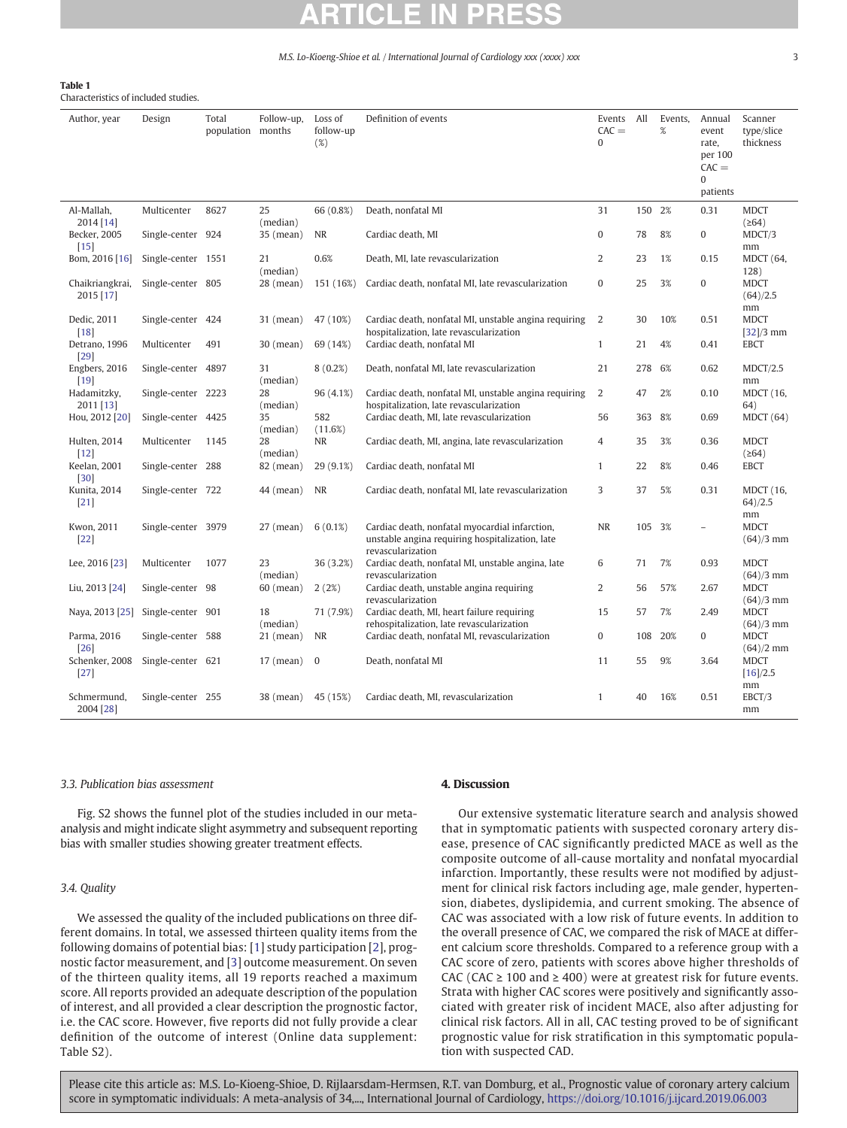### <span id="page-2-0"></span>Table 1

Characteristics of included studies.

| Author, year                 | Design             | Total<br>population months | Follow-up,     | Loss of<br>follow-up<br>(%) | Definition of events                                                                                                   | Events All<br>$CAC =$<br>$\mathbf{0}$ |        | Events,<br>$\%$ | Annual<br>event<br>rate,<br>per 100<br>$CAC =$<br>0<br>patients | Scanner<br>type/slice<br>thickness |
|------------------------------|--------------------|----------------------------|----------------|-----------------------------|------------------------------------------------------------------------------------------------------------------------|---------------------------------------|--------|-----------------|-----------------------------------------------------------------|------------------------------------|
| Al-Mallah,<br>2014 [14]      | Multicenter        | 8627                       | 25<br>(median) | 66 (0.8%)                   | Death, nonfatal MI                                                                                                     | 31                                    | 150 2% |                 | 0.31                                                            | <b>MDCT</b><br>(264)               |
| Becker, 2005<br>$[15]$       | Single-center 924  |                            | 35 (mean)      | NR                          | Cardiac death, MI                                                                                                      | $\mathbf{0}$                          | 78     | 8%              | 0                                                               | MDCT/3<br>mm                       |
| Bom, 2016 [16]               | Single-center 1551 |                            | 21<br>(median) | 0.6%                        | Death, MI, late revascularization                                                                                      | $\overline{2}$                        | 23     | 1%              | 0.15                                                            | <b>MDCT</b> (64,<br>128)           |
| Chaikriangkrai,<br>2015 [17] | Single-center 805  |                            | 28 (mean)      | 151 (16%)                   | Cardiac death, nonfatal MI, late revascularization                                                                     | $\mathbf{0}$                          | 25     | 3%              | 0                                                               | <b>MDCT</b><br>(64)/2.5<br>mm      |
| Dedic, 2011<br>$[18]$        | Single-center 424  |                            | 31 (mean)      | 47 (10%)                    | Cardiac death, nonfatal MI, unstable angina requiring<br>hospitalization, late revascularization                       | 2                                     | 30     | 10%             | 0.51                                                            | <b>MDCT</b><br>$[32]/3$ mm         |
| Detrano, 1996<br>[29]        | Multicenter        | 491                        | 30 (mean)      | 69 (14%)                    | Cardiac death, nonfatal MI                                                                                             | $\mathbf{1}$                          | 21     | 4%              | 0.41                                                            | <b>EBCT</b>                        |
| Engbers, 2016<br>$[19]$      | Single-center 4897 |                            | 31<br>(median) | 8(0.2%)                     | Death, nonfatal MI, late revascularization                                                                             | 21                                    | 278    | 6%              | 0.62                                                            | MDCT/2.5<br>mm                     |
| Hadamitzky,<br>2011 [13]     | Single-center 2223 |                            | 28<br>(median) | 96 (4.1%)                   | Cardiac death, nonfatal MI, unstable angina requiring<br>hospitalization, late revascularization                       | 2                                     | 47     | 2%              | 0.10                                                            | <b>MDCT</b> (16,<br>64)            |
| Hou, 2012 [20]               | Single-center 4425 |                            | 35<br>(median) | 582<br>(11.6%)              | Cardiac death, MI, late revascularization                                                                              | 56                                    | 363    | 8%              | 0.69                                                            | MDCT(64)                           |
| Hulten, 2014<br>$[12]$       | Multicenter        | 1145                       | 28<br>(median) | <b>NR</b>                   | Cardiac death, MI, angina, late revascularization                                                                      | $\overline{4}$                        | 35     | 3%              | 0.36                                                            | <b>MDCT</b><br>(264)               |
| Keelan, 2001<br>$[30]$       | Single-center 288  |                            | 82 (mean)      | 29 (9.1%)                   | Cardiac death, nonfatal MI                                                                                             | $\mathbf{1}$                          | 22     | 8%              | 0.46                                                            | <b>EBCT</b>                        |
| Kunita, 2014<br>[21]         | Single-center 722  |                            | 44 (mean)      | <b>NR</b>                   | Cardiac death, nonfatal MI, late revascularization                                                                     | 3                                     | 37     | 5%              | 0.31                                                            | <b>MDCT</b> (16,<br>64)/2.5<br>mm  |
| Kwon, 2011<br>$[22]$         | Single-center 3979 |                            | $27$ (mean)    | 6(0.1%)                     | Cardiac death, nonfatal myocardial infarction,<br>unstable angina requiring hospitalization, late<br>revascularization | <b>NR</b>                             | 105 3% |                 | $\overline{a}$                                                  | <b>MDCT</b><br>$(64)/3$ mm         |
| Lee, 2016 [23]               | Multicenter        | 1077                       | 23<br>(median) | 36 (3.2%)                   | Cardiac death, nonfatal MI, unstable angina, late<br>revascularization                                                 | 6                                     | 71     | 7%              | 0.93                                                            | <b>MDCT</b><br>$(64)/3$ mm         |
| Liu, 2013 [24]               | Single-center 98   |                            | $60$ (mean)    | 2(2%)                       | Cardiac death, unstable angina requiring<br>revascularization                                                          | 2                                     | 56     | 57%             | 2.67                                                            | <b>MDCT</b><br>$(64)/3$ mm         |
| Naya, 2013 [25]              | Single-center 901  |                            | 18<br>(median) | 71 (7.9%)                   | Cardiac death, MI, heart failure requiring<br>rehospitalization, late revascularization                                | 15                                    | 57     | 7%              | 2.49                                                            | <b>MDCT</b><br>$(64)/3$ mm         |
| Parma, 2016<br>[26]          | Single-center 588  |                            | $21$ (mean)    | <b>NR</b>                   | Cardiac death, nonfatal MI, revascularization                                                                          | 0                                     | 108    | 20%             | 0                                                               | <b>MDCT</b><br>$(64)/2$ mm         |
| Schenker, 2008<br>$[27]$     | Single-center 621  |                            | $17$ (mean)    | $\overline{0}$              | Death, nonfatal MI                                                                                                     | 11                                    | 55     | 9%              | 3.64                                                            | <b>MDCT</b><br>[16]/2.5<br>mm      |
| Schmermund.<br>2004 [28]     | Single-center 255  |                            | 38 (mean)      | 45 (15%)                    | Cardiac death, MI, revascularization                                                                                   | $\mathbf{1}$                          | 40     | 16%             | 0.51                                                            | EBCT/3<br>mm                       |

#### 3.3. Publication bias assessment

Fig. S2 shows the funnel plot of the studies included in our metaanalysis and might indicate slight asymmetry and subsequent reporting bias with smaller studies showing greater treatment effects.

### 3.4. Quality

We assessed the quality of the included publications on three different domains. In total, we assessed thirteen quality items from the following domains of potential bias: [[1](#page-5-0)] study participation [\[2\]](#page-5-0), prognostic factor measurement, and [\[3](#page-5-0)] outcome measurement. On seven of the thirteen quality items, all 19 reports reached a maximum score. All reports provided an adequate description of the population of interest, and all provided a clear description the prognostic factor, i.e. the CAC score. However, five reports did not fully provide a clear definition of the outcome of interest (Online data supplement: Table S2).

### 4. Discussion

Our extensive systematic literature search and analysis showed that in symptomatic patients with suspected coronary artery disease, presence of CAC significantly predicted MACE as well as the composite outcome of all-cause mortality and nonfatal myocardial infarction. Importantly, these results were not modified by adjustment for clinical risk factors including age, male gender, hypertension, diabetes, dyslipidemia, and current smoking. The absence of CAC was associated with a low risk of future events. In addition to the overall presence of CAC, we compared the risk of MACE at different calcium score thresholds. Compared to a reference group with a CAC score of zero, patients with scores above higher thresholds of CAC (CAC  $\geq$  100 and  $\geq$  400) were at greatest risk for future events. Strata with higher CAC scores were positively and significantly associated with greater risk of incident MACE, also after adjusting for clinical risk factors. All in all, CAC testing proved to be of significant prognostic value for risk stratification in this symptomatic population with suspected CAD.

Please cite this article as: M.S. Lo-Kioeng-Shioe, D. Rijlaarsdam-Hermsen, R.T. van Domburg, et al., Prognostic value of coronary artery calcium score in symptomatic individuals: A meta-analysis of 34,..., International Journal of Cardiology, <https://doi.org/10.1016/j.ijcard.2019.06.003>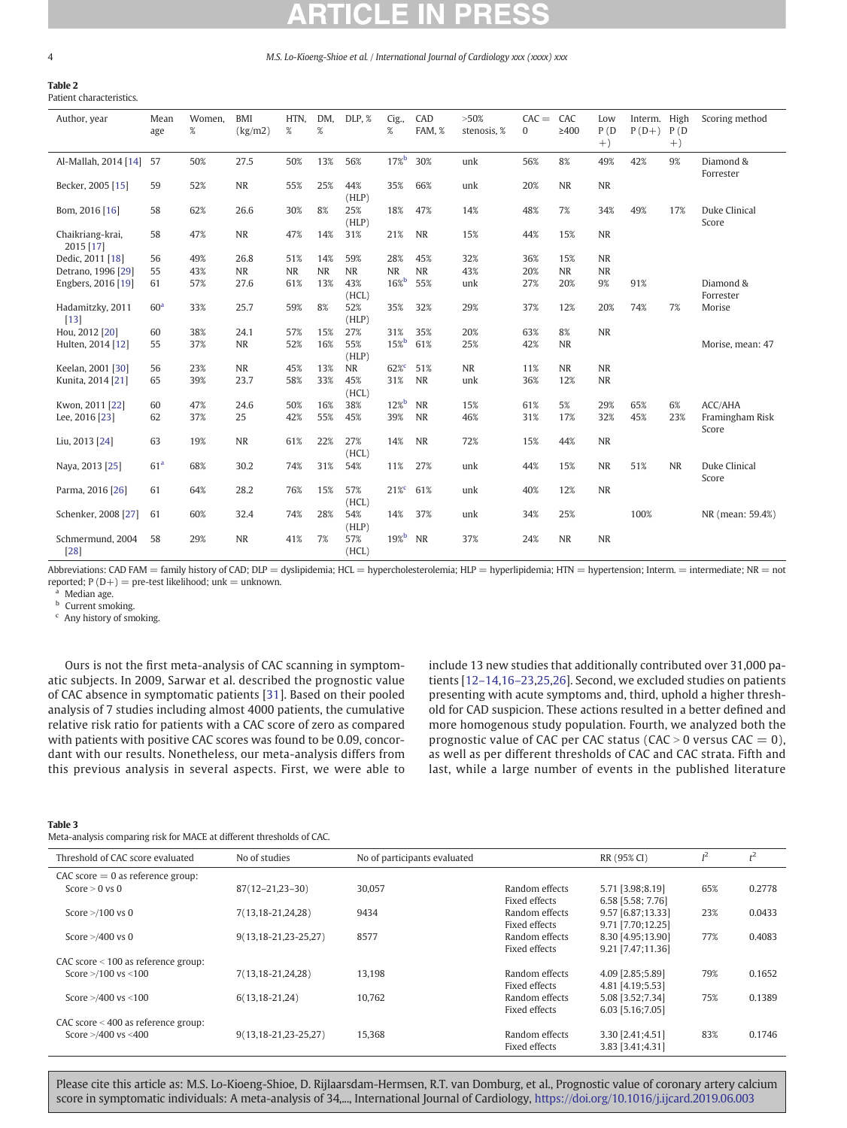#### <span id="page-3-0"></span>Table 2 Patient characteristics.

| Author, year                  | Mean<br>age     | Women,<br>$\%$ | <b>BMI</b><br>(kg/m2) | HTN,<br>% | DM,<br>$\%$ | DLP, %       | Cig.<br>$\%$     | CAD<br>FAM, % | >50%<br>stenosis, % | $CAC =$<br>0 | CAC<br>$\geq 400$ | Low<br>P(D)<br>$+)$ | Interm.<br>$P(D+)$ | High<br>P(D)<br>$+)$ | Scoring method           |
|-------------------------------|-----------------|----------------|-----------------------|-----------|-------------|--------------|------------------|---------------|---------------------|--------------|-------------------|---------------------|--------------------|----------------------|--------------------------|
| Al-Mallah, 2014 [14]          | -57             | 50%            | 27.5                  | 50%       | 13%         | 56%          | $17\%$           | 30%           | unk                 | 56%          | 8%                | 49%                 | 42%                | 9%                   | Diamond &<br>Forrester   |
| Becker, 2005 [15]             | 59              | 52%            | <b>NR</b>             | 55%       | 25%         | 44%<br>(HLP) | 35%              | 66%           | unk                 | 20%          | NR                | NR                  |                    |                      |                          |
| Bom, 2016 [16]                | 58              | 62%            | 26.6                  | 30%       | 8%          | 25%<br>(HLP) | 18%              | 47%           | 14%                 | 48%          | 7%                | 34%                 | 49%                | 17%                  | Duke Clinical<br>Score   |
| Chaikriang-krai,<br>2015 [17] | 58              | 47%            | <b>NR</b>             | 47%       | 14%         | 31%          | 21%              | <b>NR</b>     | 15%                 | 44%          | 15%               | NR                  |                    |                      |                          |
| Dedic, 2011 [18]              | 56              | 49%            | 26.8                  | 51%       | 14%         | 59%          | 28%              | 45%           | 32%                 | 36%          | 15%               | <b>NR</b>           |                    |                      |                          |
| Detrano, 1996 [29]            | 55              | 43%            | <b>NR</b>             | <b>NR</b> | <b>NR</b>   | <b>NR</b>    | <b>NR</b>        | <b>NR</b>     | 43%                 | 20%          | <b>NR</b>         | <b>NR</b>           |                    |                      |                          |
| Engbers, 2016 [19]            | 61              | 57%            | 27.6                  | 61%       | 13%         | 43%<br>(HCL) | $16\%$           | 55%           | unk                 | 27%          | 20%               | 9%                  | 91%                |                      | Diamond &<br>Forrester   |
| Hadamitzky, 2011<br>$[13]$    | 60 <sup>a</sup> | 33%            | 25.7                  | 59%       | 8%          | 52%<br>(HLP) | 35%              | 32%           | 29%                 | 37%          | 12%               | 20%                 | 74%                | 7%                   | Morise                   |
| Hou, 2012 [20]                | 60              | 38%            | 24.1                  | 57%       | 15%         | 27%          | 31%              | 35%           | 20%                 | 63%          | 8%                | <b>NR</b>           |                    |                      |                          |
| Hulten, 2014 [12]             | 55              | 37%            | <b>NR</b>             | 52%       | 16%         | 55%<br>(HLP) | $15\%$           | 61%           | 25%                 | 42%          | <b>NR</b>         |                     |                    |                      | Morise, mean: 47         |
| Keelan, 2001 [30]             | 56              | 23%            | <b>NR</b>             | 45%       | 13%         | <b>NR</b>    | 62% <sup>c</sup> | 51%           | <b>NR</b>           | 11%          | NR                | <b>NR</b>           |                    |                      |                          |
| Kunita, 2014 [21]             | 65              | 39%            | 23.7                  | 58%       | 33%         | 45%<br>(HCL) | 31%              | <b>NR</b>     | unk                 | 36%          | 12%               | NR                  |                    |                      |                          |
| Kwon, 2011 [22]               | 60              | 47%            | 24.6                  | 50%       | 16%         | 38%          | $12\%$           | <b>NR</b>     | 15%                 | 61%          | 5%                | 29%                 | 65%                | 6%                   | ACC/AHA                  |
| Lee, 2016 [23]                | 62              | 37%            | 25                    | 42%       | 55%         | 45%          | 39%              | <b>NR</b>     | 46%                 | 31%          | 17%               | 32%                 | 45%                | 23%                  | Framingham Risk<br>Score |
| Liu, 2013 [24]                | 63              | 19%            | <b>NR</b>             | 61%       | 22%         | 27%<br>(HCL) | 14%              | <b>NR</b>     | 72%                 | 15%          | 44%               | NR                  |                    |                      |                          |
| Naya, 2013 [25]               | 61 <sup>a</sup> | 68%            | 30.2                  | 74%       | 31%         | 54%          | 11%              | 27%           | unk                 | 44%          | 15%               | NR                  | 51%                | <b>NR</b>            | Duke Clinical<br>Score   |
| Parma, 2016 [26]              | 61              | 64%            | 28.2                  | 76%       | 15%         | 57%<br>(HCL) | $21\%$           | 61%           | unk                 | 40%          | 12%               | <b>NR</b>           |                    |                      |                          |
| Schenker, 2008 [27]           | 61              | 60%            | 32.4                  | 74%       | 28%         | 54%<br>(HLP) | 14%              | 37%           | unk                 | 34%          | 25%               |                     | 100%               |                      | NR (mean: 59.4%)         |
| Schmermund, 2004<br>[28]      | 58              | 29%            | <b>NR</b>             | 41%       | 7%          | 57%<br>(HCL) | 19%              | <b>NR</b>     | 37%                 | 24%          | $\rm NR$          | NR                  |                    |                      |                          |

Abbreviations: CAD FAM = family history of CAD; DLP = dyslipidemia; HCL = hypercholesterolemia; HLP = hyperlipidemia; HTN = hypertension; Interm. = intermediate; NR = not reported;  $P(D+)$  = pre-test likelihood; unk = unknown.

Median age.

**b** Current smoking.

<sup>c</sup> Any history of smoking.

Ours is not the first meta-analysis of CAC scanning in symptomatic subjects. In 2009, Sarwar et al. described the prognostic value of CAC absence in symptomatic patients [[31\]](#page-6-0). Based on their pooled analysis of 7 studies including almost 4000 patients, the cumulative relative risk ratio for patients with a CAC score of zero as compared with patients with positive CAC scores was found to be 0.09, concordant with our results. Nonetheless, our meta-analysis differs from this previous analysis in several aspects. First, we were able to

include 13 new studies that additionally contributed over 31,000 patients [12–[14,](#page-6-0)16–[23,25](#page-6-0),[26](#page-6-0)]. Second, we excluded studies on patients presenting with acute symptoms and, third, uphold a higher threshold for CAD suspicion. These actions resulted in a better defined and more homogenous study population. Fourth, we analyzed both the prognostic value of CAC per CAC status (CAC > 0 versus CAC = 0), as well as per different thresholds of CAC and CAC strata. Fifth and last, while a large number of events in the published literature

#### Table 3

Meta-analysis comparing risk for MACE at different thresholds of CAC.

| Threshold of CAC score evaluated      | No of studies                 | No of participants evaluated |                | RR (95% CI)       | $I^2$ | $t^2$  |
|---------------------------------------|-------------------------------|------------------------------|----------------|-------------------|-------|--------|
| $CAC score = 0$ as reference group:   |                               |                              |                |                   |       |        |
| Score $> 0$ vs 0                      | $87(12 - 21, 23 - 30)$        | 30,057                       | Random effects | 5.71 [3.98;8.19]  | 65%   | 0.2778 |
|                                       |                               |                              | Fixed effects  | 6.58 [5.58; 7.76] |       |        |
| Score $>$ /100 vs 0                   | 7(13,18-21,24,28)             | 9434                         | Random effects | 9.57 [6.87;13.33] | 23%   | 0.0433 |
|                                       |                               |                              | Fixed effects  | 9.71 [7.70;12.25] |       |        |
| Score $>$ /400 vs 0                   | $9(13, 18 - 21, 23 - 25, 27)$ | 8577                         | Random effects | 8.30 [4.95;13.90] | 77%   | 0.4083 |
|                                       |                               |                              | Fixed effects  | 9.21 [7.47;11.36] |       |        |
| CAC score $<$ 100 as reference group: |                               |                              |                |                   |       |        |
| Score $>$ /100 vs $<$ 100             | 7(13,18-21,24,28)             | 13,198                       | Random effects | 4.09 [2.85;5.89]  | 79%   | 0.1652 |
|                                       |                               |                              | Fixed effects  | 4.81 [4.19;5.53]  |       |        |
| Score $>$ /400 vs <100                | $6(13, 18 - 21, 24)$          | 10,762                       | Random effects | 5.08 [3.52;7.34]  | 75%   | 0.1389 |
|                                       |                               |                              | Fixed effects  | 6.03 [5.16;7.05]  |       |        |
| CAC score $<$ 400 as reference group: |                               |                              |                |                   |       |        |
| Score $>$ /400 vs <400                | $9(13, 18 - 21, 23 - 25, 27)$ | 15,368                       | Random effects | 3.30 [2.41;4.51]  | 83%   | 0.1746 |
|                                       |                               |                              | Fixed effects  | 3.83 [3.41:4.31]  |       |        |
|                                       |                               |                              |                |                   |       |        |

Please cite this article as: M.S. Lo-Kioeng-Shioe, D. Rijlaarsdam-Hermsen, R.T. van Domburg, et al., Prognostic value of coronary artery calcium score in symptomatic individuals: A meta-analysis of 34,..., International Journal of Cardiology, <https://doi.org/10.1016/j.ijcard.2019.06.003>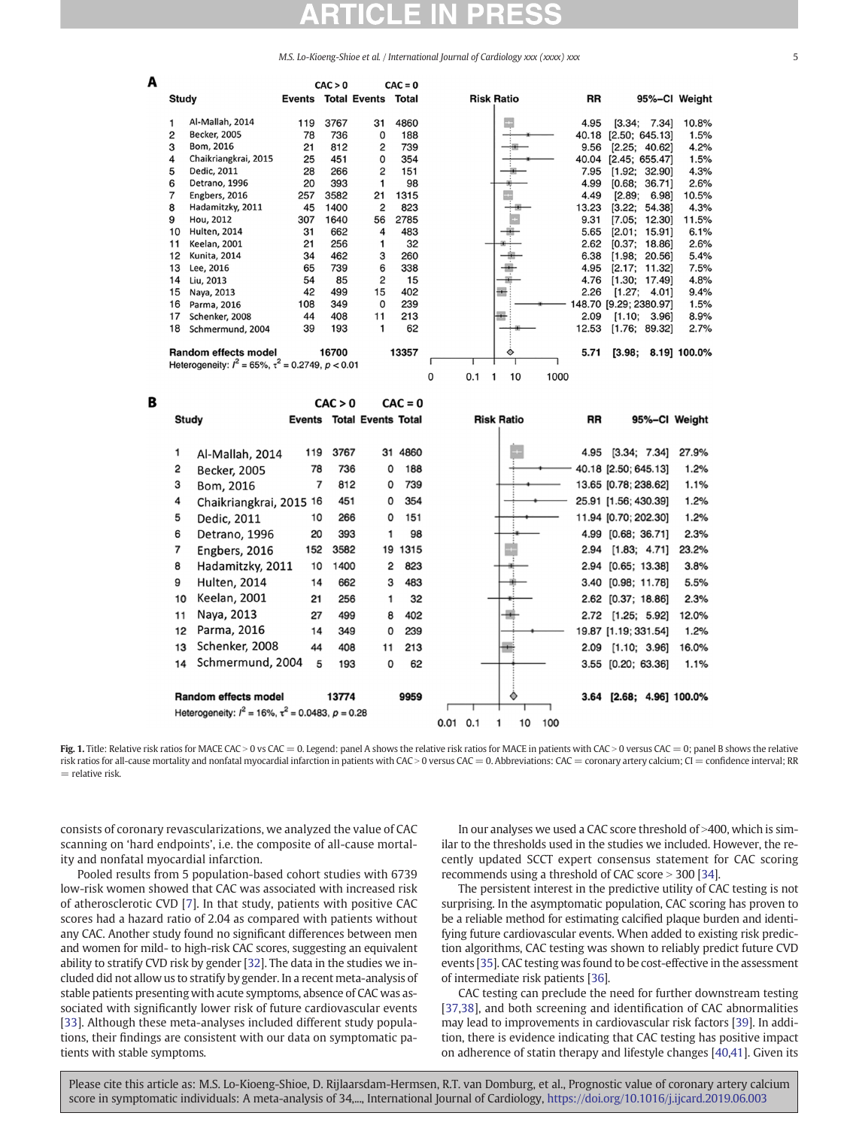|                                                 |                                                                                                                                                                                      |                                                             | CAC > 0                                                                |                                                                             | $CAC = 0$                                                            |                                  |                                                                                 |                                                                                                                                                                                      |                                                                                 |
|-------------------------------------------------|--------------------------------------------------------------------------------------------------------------------------------------------------------------------------------------|-------------------------------------------------------------|------------------------------------------------------------------------|-----------------------------------------------------------------------------|----------------------------------------------------------------------|----------------------------------|---------------------------------------------------------------------------------|--------------------------------------------------------------------------------------------------------------------------------------------------------------------------------------|---------------------------------------------------------------------------------|
| Study                                           |                                                                                                                                                                                      | <b>Events Total Events</b>                                  |                                                                        |                                                                             | Total                                                                | <b>Risk Ratio</b>                | RR                                                                              | 95%-CI Weight                                                                                                                                                                        |                                                                                 |
| 1<br>2<br>3<br>4<br>5<br>6<br>7<br>8<br>9<br>10 | Al-Mallah, 2014<br><b>Becker, 2005</b><br>Bom, 2016<br>Chaikriangkrai, 2015<br>Dedic, 2011<br>Detrano, 1996<br>Engbers, 2016<br>Hadamitzky, 2011<br>Hou, 2012<br><b>Hulten, 2014</b> | 119<br>78<br>21<br>25<br>28<br>20<br>257<br>45<br>307<br>31 | 3767<br>736<br>812<br>451<br>266<br>393<br>3582<br>1400<br>1640<br>662 | 31<br>0<br>2<br>0<br>$\overline{c}$<br>1<br>21<br>$\overline{c}$<br>56<br>4 | 4860<br>188<br>739<br>354<br>151<br>98<br>1315<br>823<br>2785<br>483 |                                  | 4.95<br>40.18<br>9.56<br>40.04<br>7.95<br>4.99<br>4.49<br>13.23<br>9.31<br>5.65 | [3.34; 7.34]<br>[2.50; 645.13]<br>[2.25; 40.62]<br>[2.45; 655.47]<br>[1.92; 32.90]<br>[0.68]<br>36.711<br>[2.89;<br>6.981<br>[3.22;<br>54.38<br>[7.05]<br>12.301<br>[2.01;<br>15.91] | 10.8%<br>1.5%<br>4.2%<br>1.5%<br>4.3%<br>2.6%<br>10.5%<br>4.3%<br>11.5%<br>6.1% |
| 11                                              | <b>Keelan, 2001</b>                                                                                                                                                                  | 21                                                          | 256                                                                    | 1                                                                           | 32                                                                   |                                  | 2.62                                                                            | [0.37;<br>18.86]                                                                                                                                                                     | 2.6%                                                                            |
| 12<br>13<br>14<br>15<br>16<br>17                | <b>Kunita, 2014</b><br>Lee, 2016<br>Liu, 2013<br>Naya, 2013<br>Parma, 2016<br>Schenker, 2008                                                                                         | 34<br>65<br>54<br>42<br>108<br>44                           | 462<br>739<br>85<br>499<br>349<br>408                                  | 3<br>6<br>$\overline{2}$<br>15<br>0<br>11                                   | 260<br>338<br>15<br>402<br>239<br>213                                |                                  | 6.38<br>4.95<br>4.76<br>2.26<br>2.09                                            | [1.98;<br>20.56]<br>[2.17;<br>11.32]<br>[1.30;<br>17.491<br>[1.27;<br>4.01]<br>148.70 [9.29; 2380.97]<br>[1.10; 3.96]                                                                | 5.4%<br>7.5%<br>4.8%<br>9.4%<br>1.5%<br>8.9%                                    |
| 18                                              | Schmermund, 2004                                                                                                                                                                     | 39                                                          | 193                                                                    | 1                                                                           | 62                                                                   |                                  | 12.53                                                                           | [1.76; 89.32]                                                                                                                                                                        | 2.7%                                                                            |
|                                                 | Random effects model<br>Heterogeneity: $l^2 = 65\%$ , $\tau^2 = 0.2749$ , $p < 0.01$                                                                                                 |                                                             | 16700                                                                  |                                                                             | 13357                                                                | ◇<br>0<br>0.1<br>1<br>10<br>1000 | 5.71                                                                            | [3.98;                                                                                                                                                                               | 8.19] 100.0%                                                                    |
|                                                 |                                                                                                                                                                                      |                                                             |                                                                        |                                                                             |                                                                      |                                  |                                                                                 |                                                                                                                                                                                      |                                                                                 |
|                                                 |                                                                                                                                                                                      |                                                             | CAC > 0                                                                |                                                                             | $CAC = 0$                                                            |                                  |                                                                                 |                                                                                                                                                                                      |                                                                                 |
|                                                 | Study                                                                                                                                                                                |                                                             |                                                                        | <b>Events Total Events Total</b>                                            |                                                                      | <b>Risk Ratio</b>                | <b>RR</b>                                                                       | 95%-CI Weight                                                                                                                                                                        |                                                                                 |
|                                                 |                                                                                                                                                                                      |                                                             |                                                                        |                                                                             |                                                                      |                                  |                                                                                 |                                                                                                                                                                                      |                                                                                 |
| 1                                               | Al-Mallah, 2014                                                                                                                                                                      | 119                                                         | 3767                                                                   |                                                                             | 31 4860                                                              |                                  |                                                                                 | 4.95 [3.34; 7.34]                                                                                                                                                                    | 27.9%                                                                           |
| 2                                               | <b>Becker, 2005</b>                                                                                                                                                                  | 78                                                          | 736                                                                    | 0                                                                           | 188                                                                  |                                  |                                                                                 | 40.18 [2.50; 645.13]                                                                                                                                                                 | 1.2%                                                                            |
| 3                                               | Bom, 2016                                                                                                                                                                            | $\overline{7}$                                              | 812                                                                    | 0                                                                           | 739                                                                  |                                  |                                                                                 | 13.65 [0.78; 238.62]                                                                                                                                                                 | 1.1%                                                                            |
| 4                                               | Chaikriangkrai, 2015 16                                                                                                                                                              |                                                             | 451                                                                    | 0                                                                           | 354                                                                  |                                  |                                                                                 | 25.91 [1.56; 430.39]                                                                                                                                                                 | 1.2%                                                                            |
| 5                                               | Dedic, 2011                                                                                                                                                                          | 10                                                          | 266                                                                    | 0                                                                           | 151                                                                  |                                  |                                                                                 | 11.94 [0.70; 202.30]                                                                                                                                                                 | 1.2%                                                                            |
| 6                                               | Detrano, 1996                                                                                                                                                                        | 20                                                          | 393                                                                    | 1                                                                           | 98                                                                   |                                  |                                                                                 | 4.99 [0.68; 36.71]                                                                                                                                                                   | 2.3%                                                                            |
| 7                                               | Engbers, 2016                                                                                                                                                                        | 152                                                         | 3582                                                                   |                                                                             | 19 1315                                                              |                                  |                                                                                 | 2.94 [1.83; 4.71]                                                                                                                                                                    | 23.2%                                                                           |
| 8                                               | Hadamitzky, 2011                                                                                                                                                                     | 10                                                          | 1400                                                                   | 2                                                                           | 823                                                                  |                                  |                                                                                 | 2.94 [0.65; 13.38]                                                                                                                                                                   | 3.8%                                                                            |
| 9                                               | Hulten, 2014                                                                                                                                                                         | 14                                                          | 662                                                                    | 3                                                                           | 483                                                                  |                                  |                                                                                 | 3.40 [0.98; 11.78]                                                                                                                                                                   | 5.5%                                                                            |
| 10                                              | <b>Keelan, 2001</b>                                                                                                                                                                  | 21                                                          | 256                                                                    | 1                                                                           | 32                                                                   |                                  |                                                                                 | 2.62 [0.37; 18.86]                                                                                                                                                                   | 2.3%                                                                            |
| 11                                              | Naya, 2013                                                                                                                                                                           | 27                                                          | 499                                                                    | 8                                                                           | 402                                                                  |                                  |                                                                                 | 2.72 [1.25; 5.92]                                                                                                                                                                    | 12.0%                                                                           |
| 12                                              | Parma, 2016                                                                                                                                                                          | 14                                                          | 349                                                                    | 0                                                                           | 239                                                                  |                                  |                                                                                 | 19.87 [1.19; 331.54]                                                                                                                                                                 | 1.2%                                                                            |
| 13                                              | Schenker, 2008                                                                                                                                                                       | 44                                                          | 408                                                                    | 11                                                                          | 213                                                                  |                                  |                                                                                 | 2.09 [1.10; 3.96]                                                                                                                                                                    | 16.0%                                                                           |
| 14                                              | Schmermund, 2004                                                                                                                                                                     | 5                                                           | 193                                                                    | 0                                                                           | 62                                                                   |                                  |                                                                                 | 3.55 [0.20; 63.36]                                                                                                                                                                   | 1.1%                                                                            |
|                                                 | Random effects model                                                                                                                                                                 |                                                             | 13774                                                                  |                                                                             | 9959                                                                 |                                  |                                                                                 | 3.64 [2.68; 4.96] 100.0%                                                                                                                                                             |                                                                                 |

Fig. 1. Title: Relative risk ratios for MACE CAC > 0 vs CAC = 0. Legend: panel A shows the relative risk ratios for MACE in patients with CAC > 0 versus CAC = 0; panel B shows the relative risk ratios for all-cause mortality and nonfatal myocardial infarction in patients with CAC > 0 versus CAC = 0. Abbreviations: CAC = coronary artery calcium; CI = confidence interval; RR  $=$  relative risk.

consists of coronary revascularizations, we analyzed the value of CAC scanning on 'hard endpoints', i.e. the composite of all-cause mortality and nonfatal myocardial infarction.

<span id="page-4-0"></span>A

B

Pooled results from 5 population-based cohort studies with 6739 low-risk women showed that CAC was associated with increased risk of atherosclerotic CVD [[7](#page-6-0)]. In that study, patients with positive CAC scores had a hazard ratio of 2.04 as compared with patients without any CAC. Another study found no significant differences between men and women for mild- to high-risk CAC scores, suggesting an equivalent ability to stratify CVD risk by gender [\[32](#page-6-0)]. The data in the studies we included did not allow us to stratify by gender. In a recent meta-analysis of stable patients presenting with acute symptoms, absence of CAC was associated with significantly lower risk of future cardiovascular events [\[33\]](#page-6-0). Although these meta-analyses included different study populations, their findings are consistent with our data on symptomatic patients with stable symptoms.

In our analyses we used a CAC score threshold of >400, which is similar to the thresholds used in the studies we included. However, the recently updated SCCT expert consensus statement for CAC scoring recommends using a threshold of CAC score  $>$  300 [\[34](#page-6-0)].

The persistent interest in the predictive utility of CAC testing is not surprising. In the asymptomatic population, CAC scoring has proven to be a reliable method for estimating calcified plaque burden and identifying future cardiovascular events. When added to existing risk prediction algorithms, CAC testing was shown to reliably predict future CVD events [[35\]](#page-6-0). CAC testing was found to be cost-effective in the assessment of intermediate risk patients [\[36\]](#page-6-0).

CAC testing can preclude the need for further downstream testing [\[37,38\]](#page-6-0), and both screening and identification of CAC abnormalities may lead to improvements in cardiovascular risk factors [[39\]](#page-6-0). In addition, there is evidence indicating that CAC testing has positive impact on adherence of statin therapy and lifestyle changes [\[40,41](#page-6-0)]. Given its

Please cite this article as: M.S. Lo-Kioeng-Shioe, D. Rijlaarsdam-Hermsen, R.T. van Domburg, et al., Prognostic value of coronary artery calcium score in symptomatic individuals: A meta-analysis of 34,..., International Journal of Cardiology, <https://doi.org/10.1016/j.ijcard.2019.06.003>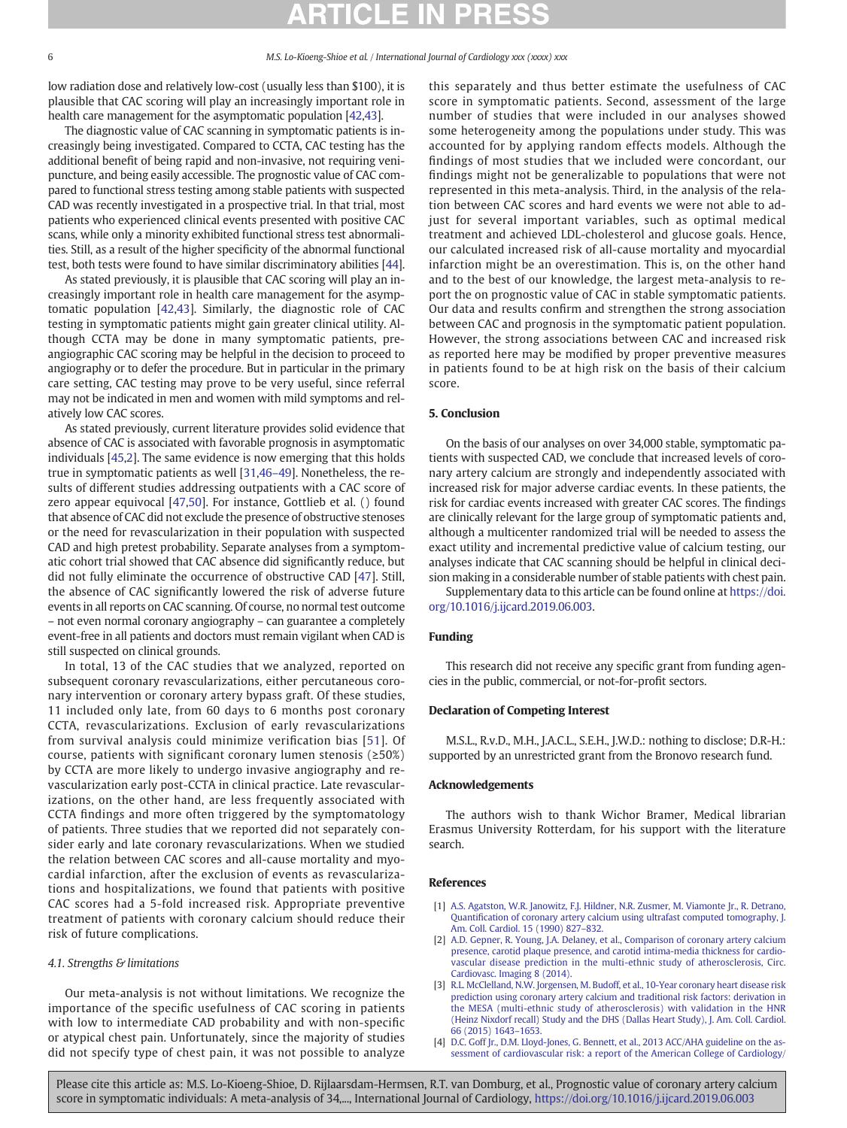<span id="page-5-0"></span>low radiation dose and relatively low-cost (usually less than \$100), it is plausible that CAC scoring will play an increasingly important role in health care management for the asymptomatic population [[42,43](#page-6-0)].

The diagnostic value of CAC scanning in symptomatic patients is increasingly being investigated. Compared to CCTA, CAC testing has the additional benefit of being rapid and non-invasive, not requiring venipuncture, and being easily accessible. The prognostic value of CAC compared to functional stress testing among stable patients with suspected CAD was recently investigated in a prospective trial. In that trial, most patients who experienced clinical events presented with positive CAC scans, while only a minority exhibited functional stress test abnormalities. Still, as a result of the higher specificity of the abnormal functional test, both tests were found to have similar discriminatory abilities [\[44](#page-6-0)].

As stated previously, it is plausible that CAC scoring will play an increasingly important role in health care management for the asymptomatic population [\[42,43\]](#page-6-0). Similarly, the diagnostic role of CAC testing in symptomatic patients might gain greater clinical utility. Although CCTA may be done in many symptomatic patients, preangiographic CAC scoring may be helpful in the decision to proceed to angiography or to defer the procedure. But in particular in the primary care setting, CAC testing may prove to be very useful, since referral may not be indicated in men and women with mild symptoms and relatively low CAC scores.

As stated previously, current literature provides solid evidence that absence of CAC is associated with favorable prognosis in asymptomatic individuals [\[45](#page-6-0),2]. The same evidence is now emerging that this holds true in symptomatic patients as well [\[31,46](#page-6-0)–49]. Nonetheless, the results of different studies addressing outpatients with a CAC score of zero appear equivocal [[47,50\]](#page-6-0). For instance, Gottlieb et al. () found that absence of CAC did not exclude the presence of obstructive stenoses or the need for revascularization in their population with suspected CAD and high pretest probability. Separate analyses from a symptomatic cohort trial showed that CAC absence did significantly reduce, but did not fully eliminate the occurrence of obstructive CAD [\[47](#page-6-0)]. Still, the absence of CAC significantly lowered the risk of adverse future events in all reports on CAC scanning. Of course, no normal test outcome – not even normal coronary angiography – can guarantee a completely event-free in all patients and doctors must remain vigilant when CAD is still suspected on clinical grounds.

In total, 13 of the CAC studies that we analyzed, reported on subsequent coronary revascularizations, either percutaneous coronary intervention or coronary artery bypass graft. Of these studies, 11 included only late, from 60 days to 6 months post coronary CCTA, revascularizations. Exclusion of early revascularizations from survival analysis could minimize verification bias [[51\]](#page-6-0). Of course, patients with significant coronary lumen stenosis ( $\geq 50\%$ ) by CCTA are more likely to undergo invasive angiography and revascularization early post-CCTA in clinical practice. Late revascularizations, on the other hand, are less frequently associated with CCTA findings and more often triggered by the symptomatology of patients. Three studies that we reported did not separately consider early and late coronary revascularizations. When we studied the relation between CAC scores and all-cause mortality and myocardial infarction, after the exclusion of events as revascularizations and hospitalizations, we found that patients with positive CAC scores had a 5-fold increased risk. Appropriate preventive treatment of patients with coronary calcium should reduce their risk of future complications.

### 4.1. Strengths & limitations

Our meta-analysis is not without limitations. We recognize the importance of the specific usefulness of CAC scoring in patients with low to intermediate CAD probability and with non-specific or atypical chest pain. Unfortunately, since the majority of studies did not specify type of chest pain, it was not possible to analyze this separately and thus better estimate the usefulness of CAC score in symptomatic patients. Second, assessment of the large number of studies that were included in our analyses showed some heterogeneity among the populations under study. This was accounted for by applying random effects models. Although the findings of most studies that we included were concordant, our findings might not be generalizable to populations that were not represented in this meta-analysis. Third, in the analysis of the relation between CAC scores and hard events we were not able to adjust for several important variables, such as optimal medical treatment and achieved LDL-cholesterol and glucose goals. Hence, our calculated increased risk of all-cause mortality and myocardial infarction might be an overestimation. This is, on the other hand and to the best of our knowledge, the largest meta-analysis to report the on prognostic value of CAC in stable symptomatic patients. Our data and results confirm and strengthen the strong association between CAC and prognosis in the symptomatic patient population. However, the strong associations between CAC and increased risk as reported here may be modified by proper preventive measures in patients found to be at high risk on the basis of their calcium score.

### 5. Conclusion

On the basis of our analyses on over 34,000 stable, symptomatic patients with suspected CAD, we conclude that increased levels of coronary artery calcium are strongly and independently associated with increased risk for major adverse cardiac events. In these patients, the risk for cardiac events increased with greater CAC scores. The findings are clinically relevant for the large group of symptomatic patients and, although a multicenter randomized trial will be needed to assess the exact utility and incremental predictive value of calcium testing, our analyses indicate that CAC scanning should be helpful in clinical decision making in a considerable number of stable patients with chest pain.

Supplementary data to this article can be found online at [https://doi.](https://doi.org/10.1016/j.ijcard.2019.06.003) [org/10.1016/j.ijcard.2019.06.003.](https://doi.org/10.1016/j.ijcard.2019.06.003)

### Funding

This research did not receive any specific grant from funding agencies in the public, commercial, or not-for-profit sectors.

### Declaration of Competing Interest

M.S.L., R.v.D., M.H., J.A.C.L., S.E.H., J.W.D.: nothing to disclose; D.R-H.: supported by an unrestricted grant from the Bronovo research fund.

### Acknowledgements

The authors wish to thank Wichor Bramer, Medical librarian Erasmus University Rotterdam, for his support with the literature search.

#### References

- [1] [A.S. Agatston, W.R. Janowitz, F.J. Hildner, N.R. Zusmer, M. Viamonte Jr., R. Detrano,](http://refhub.elsevier.com/S0167-5273(18)36925-0/rf0005) Quantifi[cation of coronary artery calcium using ultrafast computed tomography, J.](http://refhub.elsevier.com/S0167-5273(18)36925-0/rf0005) [Am. Coll. Cardiol. 15 \(1990\) 827](http://refhub.elsevier.com/S0167-5273(18)36925-0/rf0005)–832.
- [2] [A.D. Gepner, R. Young, J.A. Delaney, et al., Comparison of coronary artery calcium](http://refhub.elsevier.com/S0167-5273(18)36925-0/rf0010) [presence, carotid plaque presence, and carotid intima-media thickness for cardio](http://refhub.elsevier.com/S0167-5273(18)36925-0/rf0010)[vascular disease prediction in the multi-ethnic study of atherosclerosis, Circ.](http://refhub.elsevier.com/S0167-5273(18)36925-0/rf0010) [Cardiovasc. Imaging 8 \(2014\)](http://refhub.elsevier.com/S0167-5273(18)36925-0/rf0010).
- [3] [R.L. McClelland, N.W. Jorgensen, M. Budoff, et al., 10-Year coronary heart disease risk](http://refhub.elsevier.com/S0167-5273(18)36925-0/rf0015) [prediction using coronary artery calcium and traditional risk factors: derivation in](http://refhub.elsevier.com/S0167-5273(18)36925-0/rf0015) [the MESA \(multi-ethnic study of atherosclerosis\) with validation in the HNR](http://refhub.elsevier.com/S0167-5273(18)36925-0/rf0015) [\(Heinz Nixdorf recall\) Study and the DHS \(Dallas Heart Study\), J. Am. Coll. Cardiol.](http://refhub.elsevier.com/S0167-5273(18)36925-0/rf0015) [66 \(2015\) 1643](http://refhub.elsevier.com/S0167-5273(18)36925-0/rf0015)–1653.
- [4] [D.C. Goff Jr., D.M. Lloyd-Jones, G. Bennett, et al., 2013 ACC/AHA guideline on the as](http://refhub.elsevier.com/S0167-5273(18)36925-0/rf0020)[sessment of cardiovascular risk: a report of the American College of Cardiology/](http://refhub.elsevier.com/S0167-5273(18)36925-0/rf0020)

Please cite this article as: M.S. Lo-Kioeng-Shioe, D. Rijlaarsdam-Hermsen, R.T. van Domburg, et al., Prognostic value of coronary artery calcium score in symptomatic individuals: A meta-analysis of 34,..., International Journal of Cardiology, <https://doi.org/10.1016/j.ijcard.2019.06.003>